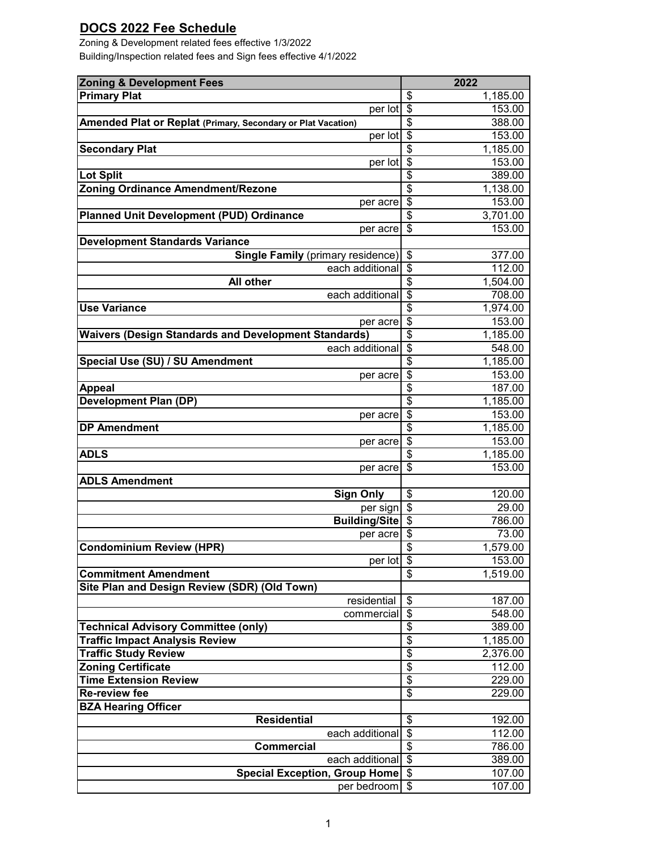## **DOCS 2022 Fee Schedule**

Building/Inspection related fees and Sign fees effective 4/1/2022 Zoning & Development related fees effective 1/3/2022

| <b>Zoning &amp; Development Fees</b>                         | 2022                                                       |
|--------------------------------------------------------------|------------------------------------------------------------|
| <b>Primary Plat</b>                                          | \$<br>1,185.00                                             |
| per lot                                                      | \$<br>153.00                                               |
| Amended Plat or Replat (Primary, Secondary or Plat Vacation) | \$<br>388.00                                               |
| per lot                                                      | $\overline{\boldsymbol{\mathsf{s}}}$<br>153.00             |
| <b>Secondary Plat</b>                                        | $\overline{\$}$<br>1,185.00                                |
| per lot                                                      | \$<br>153.00                                               |
| Lot Split                                                    | $\overline{\mathcal{S}}$<br>389.00                         |
| <b>Zoning Ordinance Amendment/Rezone</b>                     | $\overline{\$}$<br>1,138.00                                |
| per acre                                                     | $\overline{\mathcal{S}}$<br>153.00                         |
| Planned Unit Development (PUD) Ordinance                     | $\overline{\boldsymbol{\mathsf{S}}}$<br>3,701.00           |
| per acre                                                     | $\overline{\mathcal{S}}$<br>153.00                         |
| <b>Development Standards Variance</b>                        |                                                            |
| <b>Single Family (primary residence)</b>                     | $\boldsymbol{\mathsf{S}}$<br>377.00                        |
| each additional                                              | $\overline{\$}$<br>112.00<br>$\overline{\$}$               |
| All other<br>each additional                                 | 1,504.00<br>$\overline{\$}$<br>708.00                      |
| <b>Use Variance</b>                                          | $\overline{\$}$<br>1,974.00                                |
| per acre                                                     | $\overline{\boldsymbol{\mathsf{s}}}$<br>153.00             |
| <b>Waivers (Design Standards and Development Standards)</b>  | $\overline{\$}$<br>1,185.00                                |
| each additional                                              | $\frac{1}{2}$<br>548.00                                    |
| Special Use (SU) / SU Amendment                              | $\overline{\mathbf{S}}$<br>1,185.00                        |
| per acre                                                     | $\overline{\mathcal{S}}$<br>153.00                         |
| <b>Appeal</b>                                                | \$<br>187.00                                               |
| <b>Development Plan (DP)</b>                                 | $\overline{\boldsymbol{\theta}}$<br>1,185.00               |
| per acre                                                     | $\overline{\mathbf{S}}$<br>153.00                          |
| <b>DP Amendment</b>                                          | $\overline{\mathcal{S}}$<br>1,185.00                       |
| per acre                                                     | $\overline{\mathcal{S}}$<br>153.00                         |
| <b>ADLS</b>                                                  | \$<br>1,185.00                                             |
| per acre                                                     | $\overline{\$}$<br>153.00                                  |
| <b>ADLS Amendment</b>                                        |                                                            |
| <b>Sign Only</b>                                             | \$<br>120.00                                               |
| per sign                                                     | $\overline{\boldsymbol{\theta}}$<br>29.00                  |
| <b>Building/Site</b>                                         | $\overline{\mathbf{S}}$<br>786.00                          |
| per acre                                                     | \$<br>73.00                                                |
| <b>Condominium Review (HPR)</b>                              | $\overline{\boldsymbol{\theta}}$<br>1,579.00               |
| $per$ lot $\$\$                                              | 153.00                                                     |
| <b>Commitment Amendment</b>                                  | \$<br>1,519.00                                             |
| Site Plan and Design Review (SDR) (Old Town)                 |                                                            |
| residential                                                  | \$<br>187.00<br>$\overline{\boldsymbol{\theta}}$<br>548.00 |
| commercial<br><b>Technical Advisory Committee (only)</b>     | \$<br>389.00                                               |
| <b>Traffic Impact Analysis Review</b>                        | $\overline{\$}$<br>1,185.00                                |
| <b>Traffic Study Review</b>                                  | $\overline{\boldsymbol{\theta}}$<br>2,376.00               |
| <b>Zoning Certificate</b>                                    | $\overline{\$}$<br>112.00                                  |
| <b>Time Extension Review</b>                                 | \$<br>229.00                                               |
| <b>Re-review fee</b>                                         | $\overline{\mathbf{S}}$<br>229.00                          |
| <b>BZA Hearing Officer</b>                                   |                                                            |
| <b>Residential</b>                                           | \$<br>192.00                                               |
| each additional                                              | \$<br>112.00                                               |
| <b>Commercial</b>                                            | \$<br>786.00                                               |
| each additional                                              | \$<br>389.00                                               |
| <b>Special Exception, Group Home</b>                         | \$<br>107.00                                               |
| per bedroom                                                  | \$<br>107.00                                               |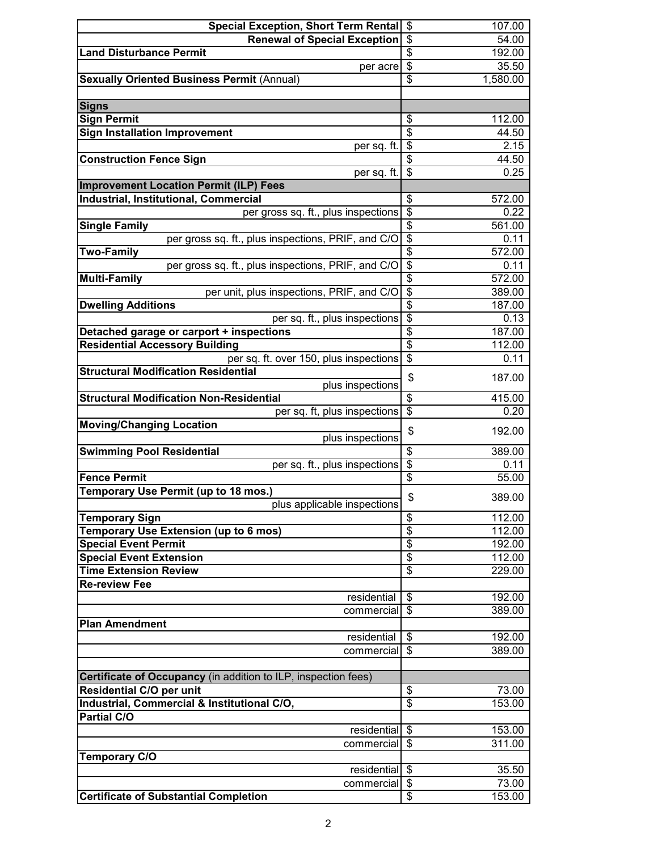| <b>Special Exception, Short Term Rental</b>                            | \$                                   | 107.00           |
|------------------------------------------------------------------------|--------------------------------------|------------------|
| <b>Renewal of Special Exception</b>                                    | \$                                   | 54.00            |
| <b>Land Disturbance Permit</b>                                         | $\overline{\$}$                      | 192.00           |
| per acre                                                               | $\overline{\$}$                      | 35.50            |
| <b>Sexually Oriented Business Permit (Annual)</b>                      | $\overline{\$}$                      | 1,580.00         |
|                                                                        |                                      |                  |
| <b>Signs</b>                                                           |                                      |                  |
| <b>Sign Permit</b>                                                     | \$                                   | 112.00           |
| <b>Sign Installation Improvement</b>                                   | $\overline{\$}$                      | 44.50            |
| per sq. ft.                                                            | $\overline{\$}$                      | 2.15             |
| <b>Construction Fence Sign</b>                                         | $\overline{\$}$                      | 44.50            |
| per sq. ft.                                                            | $\overline{\mathcal{E}}$             | 0.25             |
| <b>Improvement Location Permit (ILP) Fees</b>                          |                                      |                  |
| Industrial, Institutional, Commercial                                  | \$                                   | 572.00           |
| per gross sq. ft., plus inspections                                    | \$                                   | 0.22             |
| <b>Single Family</b>                                                   | $\overline{\boldsymbol{\mathsf{S}}}$ | 561.00           |
| per gross sq. ft., plus inspections, PRIF, and C/O                     | $\overline{\mathcal{E}}$             | 0.11             |
| <b>Two-Family</b>                                                      | $\overline{\$}$                      | 572.00           |
| per gross sq. ft., plus inspections, PRIF, and C/O                     | $\overline{\$}$<br>$\overline{\$}$   | 0.11             |
| <b>Multi-Family</b>                                                    | $\overline{\$}$                      | 572.00           |
| per unit, plus inspections, PRIF, and C/O<br><b>Dwelling Additions</b> | $\overline{\$}$                      | 389.00<br>187.00 |
| per sq. ft., plus inspections                                          | $\overline{\$}$                      | 0.13             |
| Detached garage or carport + inspections                               | $\overline{\$}$                      | 187.00           |
| <b>Residential Accessory Building</b>                                  | $\overline{\$}$                      | 112.00           |
| per sq. ft. over 150, plus inspections                                 | $\overline{\$}$                      | 0.11             |
| <b>Structural Modification Residential</b>                             |                                      |                  |
| plus inspections                                                       | \$                                   | 187.00           |
| <b>Structural Modification Non-Residential</b>                         | $\overline{\$}$                      | 415.00           |
| per sq. ft, plus inspections                                           | $\overline{\$}$                      | 0.20             |
| <b>Moving/Changing Location</b>                                        |                                      |                  |
| plus inspections                                                       | \$                                   | 192.00           |
| <b>Swimming Pool Residential</b>                                       | $\overline{\boldsymbol{\theta}}$     | 389.00           |
| per sq. ft., plus inspections                                          | $\overline{\mathbf{e}}$              | 0.11             |
| <b>Fence Permit</b>                                                    | $\overline{\$}$                      | 55.00            |
| Temporary Use Permit (up to 18 mos.)                                   | \$                                   | 389.00           |
| plus applicable inspections                                            |                                      |                  |
| <b>Temporary Sign</b>                                                  | $\overline{\mathcal{S}}$             | 112.00           |
| Temporary Use Extension (up to 6 mos)                                  | $\overline{\$}$                      | 112.00           |
| <b>Special Event Permit</b><br><b>Special Event Extension</b>          | $\overline{\$}$<br>$\overline{\$}$   | 192.00           |
| <b>Time Extension Review</b>                                           | $\overline{\$}$                      | 112.00           |
| <b>Re-review Fee</b>                                                   |                                      | 229.00           |
| residential                                                            | \$                                   | 192.00           |
| commercial                                                             | \$                                   | 389.00           |
| <b>Plan Amendment</b>                                                  |                                      |                  |
| residential                                                            | \$                                   | 192.00           |
| commercial                                                             | \$                                   | 389.00           |
|                                                                        |                                      |                  |
| Certificate of Occupancy (in addition to ILP, inspection fees)         |                                      |                  |
| <b>Residential C/O per unit</b>                                        | \$                                   | 73.00            |
| Industrial, Commercial & Institutional C/O,                            | $\overline{\$}$                      | 153.00           |
| <b>Partial C/O</b>                                                     |                                      |                  |
| residential                                                            | $\overline{\mathcal{E}}$             | 153.00           |
| commercial                                                             | \$                                   | 311.00           |
| <b>Temporary C/O</b>                                                   |                                      |                  |
| residential                                                            | $\overline{\mathcal{S}}$             | 35.50            |
| commercial                                                             | \$                                   | 73.00            |
| <b>Certificate of Substantial Completion</b>                           | \$                                   | 153.00           |